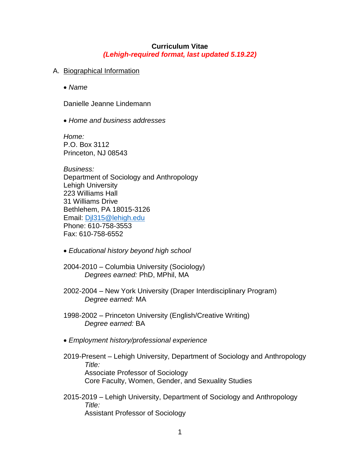## **Curriculum Vitae** *(Lehigh-required format, last updated 5.19.22)*

## A. Biographical Information

• *Name*

Danielle Jeanne Lindemann

• *Home and business addresses*

*Home:*  P.O. Box 3112 Princeton, NJ 08543

*Business:* Department of Sociology and Anthropology Lehigh University 223 Williams Hall 31 Williams Drive Bethlehem, PA 18015-3126 Email: [Djl315@lehigh.edu](mailto:Djl315@lehigh.edu) Phone: 610-758-3553 Fax: 610-758-6552

- *Educational history beyond high school*
- 2004-2010 Columbia University (Sociology) *Degrees earned:* PhD, MPhil, MA
- 2002-2004 New York University (Draper Interdisciplinary Program) *Degree earned:* MA
- 1998-2002 Princeton University (English/Creative Writing) *Degree earned:* BA
- *Employment history/professional experience*
- 2019-Present Lehigh University, Department of Sociology and Anthropology *Title:* Associate Professor of Sociology Core Faculty, Women, Gender, and Sexuality Studies
- 2015-2019 Lehigh University, Department of Sociology and Anthropology *Title:* Assistant Professor of Sociology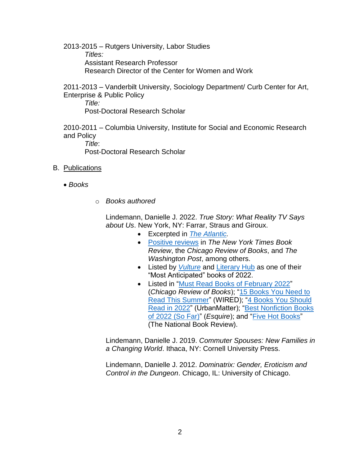2013-2015 – Rutgers University, Labor Studies *Titles:* Assistant Research Professor Research Director of the Center for Women and Work

2011-2013 – Vanderbilt University, Sociology Department/ Curb Center for Art, Enterprise & Public Policy *Title:*

Post-Doctoral Research Scholar

2010-2011 – Columbia University, Institute for Social and Economic Research and Policy *Title*:

Post-Doctoral Research Scholar

- B. Publications
	- *Books*
- o *Books authored*

Lindemann, Danielle J. 2022. *True Story: What Reality TV Says about Us*. New York, NY: Farrar, Straus and Giroux.

- Excerpted in *[The Atlantic.](https://www.theatlantic.com/culture/archive/2022/02/reality-tv-mom-expectations/622055/)*
- [Positive reviews](https://bookmarks.reviews/reviews/true-story-what-reality-tv-says-about-us/) in *The New York Times Book Review*, the *Chicago Review of Books*, and *The Washington Post*, among others.
- Listed by *[Vulture](https://www.vulture.com/article/most-anticipated-books-2022.html)* and [Literary Hub](https://lithub.com/lit-hubs-most-anticipated-books-of-2022/2/) as one of their "Most Anticipated" books of 2022.
- Listed in ["Must Read Books](https://chireviewofbooks.com/2022/02/01/12-must-read-books-of-february/) of February 2022" (*Chicago Review of Books*); ["15 Books You Need to](https://www.wired.com/gallery/summer-books-list-2022/?fbclid=IwAR2tTrUZsnOLxJev3mevZ4T0wZj6xmQ834Jx_eQRKWSrHobMfoeNUUp6-7E)  [Read This Summer"](https://www.wired.com/gallery/summer-books-list-2022/?fbclid=IwAR2tTrUZsnOLxJev3mevZ4T0wZj6xmQ834Jx_eQRKWSrHobMfoeNUUp6-7E) (WIRED); ["4 Books You Should](https://urbanmatter.com/4-books-you-should-read-in-2022/)  [Read in 2022"](https://urbanmatter.com/4-books-you-should-read-in-2022/) (UrbanMatter); ["Best Nonfiction Books](https://www.esquire.com/entertainment/books/g39191054/best-nonfiction-books-2022/)  [of 2022 \(So Far\)"](https://www.esquire.com/entertainment/books/g39191054/best-nonfiction-books-2022/) (*Esquire*); and ["Five Hot Books"](https://www.thenationalbookreview.com/features/2022/2/15/5-hot-books-abe-lincolns-view-of-peace-what-reality-tv-says-about-us-and-more) (The National Book Review).

Lindemann, Danielle J. 2019. *Commuter Spouses: New Families in a Changing World*. Ithaca, NY: Cornell University Press.

Lindemann, Danielle J. 2012. *Dominatrix: Gender, Eroticism and Control in the Dungeon*. Chicago, IL: University of Chicago.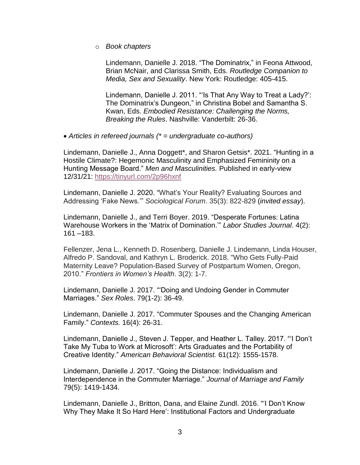o *Book chapters*

Lindemann, Danielle J. 2018. "The Dominatrix," in Feona Attwood, Brian McNair, and Clarissa Smith, Eds. *Routledge Companion to Media, Sex and Sexuality*. New York: Routledge: 405-415.

Lindemann, Danielle J. 2011. "'Is That Any Way to Treat a Lady?': The Dominatrix's Dungeon," in Christina Bobel and Samantha S. Kwan, Eds. *Embodied Resistance: Challenging the Norms, Breaking the Rules*. Nashville: Vanderbilt: 26-36.

• *Articles in refereed journals (\* = undergraduate co-authors)*

Lindemann, Danielle J., Anna Doggett\*, and Sharon Getsis\*. 2021. "Hunting in a Hostile Climate?: Hegemonic Masculinity and Emphasized Femininity on a Hunting Message Board." *Men and Masculinities.* Published in early-view 12/31/21: <https://tinyurl.com/2p96hxnf>

Lindemann, Danielle J. 2020. "What's Your Reality? Evaluating Sources and Addressing 'Fake News.'" *Sociological Forum*. 35(3): 822-829 (*invited essay*).

Lindemann, Danielle J., and Terri Boyer. 2019. "Desperate Fortunes: Latina Warehouse Workers in the 'Matrix of Domination.'" *Labor Studies Journal*. 4(2): 161 –183.

Fellenzer, Jena L., Kenneth D. Rosenberg, Danielle J. Lindemann, Linda Houser, Alfredo P. Sandoval, and Kathryn L. Broderick. 2018. "Who Gets Fully-Paid Maternity Leave? Population-Based Survey of Postpartum Women, Oregon, 2010." *Frontiers in Women's Health*. 3(2): 1-7.

Lindemann, Danielle J. 2017. "'Doing and Undoing Gender in Commuter Marriages." *Sex Roles*. 79(1-2): 36-49.

Lindemann, Danielle J. 2017. "Commuter Spouses and the Changing American Family." *Contexts.* 16(4): 26-31.

Lindemann, Danielle J., Steven J. Tepper, and Heather L. Talley. 2017. "'I Don't Take My Tuba to Work at Microsoft': Arts Graduates and the Portability of Creative Identity." *American Behavioral Scientist.* 61(12): 1555-1578.

Lindemann, Danielle J. 2017. "Going the Distance: Individualism and Interdependence in the Commuter Marriage." *Journal of Marriage and Family*  79(5): 1419-1434.

Lindemann, Danielle J., Britton, Dana, and Elaine Zundl. 2016. "'I Don't Know Why They Make It So Hard Here': Institutional Factors and Undergraduate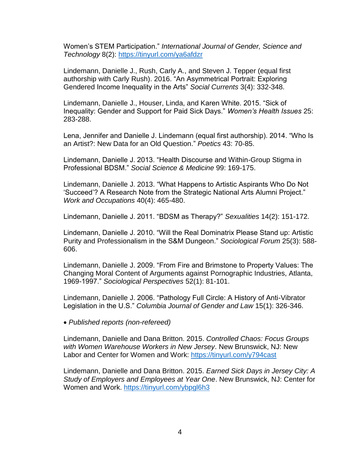Women's STEM Participation." *International Journal of Gender, Science and Technology* 8(2):<https://tinyurl.com/ya6afdzr>

Lindemann, Danielle J., Rush, Carly A., and Steven J. Tepper (equal first authorship with Carly Rush). 2016. "An Asymmetrical Portrait: Exploring Gendered Income Inequality in the Arts" *Social Currents* 3(4): 332-348.

Lindemann, Danielle J., Houser, Linda, and Karen White. 2015. "Sick of Inequality: Gender and Support for Paid Sick Days." *Women's Health Issues* 25: 283-288.

Lena, Jennifer and Danielle J. Lindemann (equal first authorship). 2014. "Who Is an Artist?: New Data for an Old Question." *Poetics* 43: 70-85.

Lindemann, Danielle J. 2013. "Health Discourse and Within-Group Stigma in Professional BDSM." *Social Science & Medicine* 99: 169-175.

Lindemann, Danielle J. 2013. "What Happens to Artistic Aspirants Who Do Not 'Succeed'? A Research Note from the Strategic National Arts Alumni Project." *Work and Occupations* 40(4): 465-480.

Lindemann, Danielle J. 2011. "BDSM as Therapy?" *Sexualities* 14(2): 151-172.

Lindemann, Danielle J. 2010. "Will the Real Dominatrix Please Stand up: Artistic Purity and Professionalism in the S&M Dungeon." *Sociological Forum* 25(3): 588- 606.

Lindemann, Danielle J. 2009. "From Fire and Brimstone to Property Values: The Changing Moral Content of Arguments against Pornographic Industries, Atlanta, 1969-1997." *Sociological Perspectives* 52(1): 81-101.

Lindemann, Danielle J. 2006. "Pathology Full Circle: A History of Anti-Vibrator Legislation in the U.S." *Columbia Journal of Gender and Law* 15(1): 326-346.

• *Published reports (non-refereed)* 

Lindemann, Danielle and Dana Britton. 2015. *Controlled Chaos: Focus Groups with Women Warehouse Workers in New Jersey*. New Brunswick, NJ: New Labor and Center for Women and Work: <https://tinyurl.com/y794cast>

Lindemann, Danielle and Dana Britton. 2015. *Earned Sick Days in Jersey City: A Study of Employers and Employees at Year One*. New Brunswick, NJ: Center for Women and Work.<https://tinyurl.com/ybpgl6h3>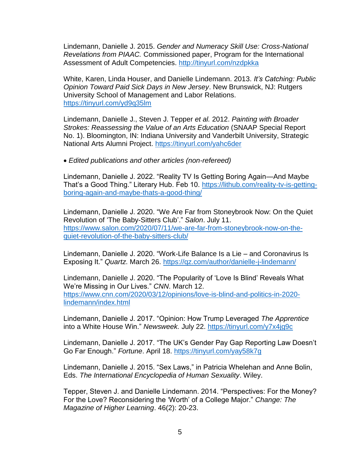Lindemann, Danielle J. 2015. *Gender and Numeracy Skill Use: Cross-National Revelations from PIAAC.* Commissioned paper, Program for the International Assessment of Adult Competencies.<http://tinyurl.com/nzdpkka>

White, Karen, Linda Houser, and Danielle Lindemann. 2013. *It's Catching: Public Opinion Toward Paid Sick Days in New Jersey*. New Brunswick, NJ: Rutgers University School of Management and Labor Relations. <https://tinyurl.com/yd9q35lm>

Lindemann, Danielle J., Steven J. Tepper *et al.* 2012. *Painting with Broader Strokes: Reassessing the Value of an Arts Education* (SNAAP Special Report No. 1). Bloomington, IN: Indiana University and Vanderbilt University, Strategic National Arts Alumni Project.<https://tinyurl.com/yahc6der>

• *Edited publications and other articles (non-refereed)*

Lindemann, Danielle J. 2022. "Reality TV Is Getting Boring Again—And Maybe That's a Good Thing." Literary Hub. Feb 10. [https://lithub.com/reality-tv-is-getting](https://lithub.com/reality-tv-is-getting-boring-again-and-maybe-thats-a-good-thing/)[boring-again-and-maybe-thats-a-good-thing/](https://lithub.com/reality-tv-is-getting-boring-again-and-maybe-thats-a-good-thing/)

Lindemann, Danielle J. 2020. "We Are Far from Stoneybrook Now: On the Quiet Revolution of 'The Baby-Sitters Club'." *Salon*. July 11. [https://www.salon.com/2020/07/11/we-are-far-from-stoneybrook-now-on-the](https://www.salon.com/2020/07/11/we-are-far-from-stoneybrook-now-on-the-quiet-revolution-of-the-baby-sitters-club/)[quiet-revolution-of-the-baby-sitters-club/](https://www.salon.com/2020/07/11/we-are-far-from-stoneybrook-now-on-the-quiet-revolution-of-the-baby-sitters-club/)

Lindemann, Danielle J. 2020. "Work-Life Balance Is a Lie – and Coronavirus Is Exposing It." *Quartz*. March 26.<https://qz.com/author/danielle-j-lindemann/>

Lindemann, Danielle J. 2020. "The Popularity of 'Love Is Blind' Reveals What We're Missing in Our Lives." *CNN*. March 12. [https://www.cnn.com/2020/03/12/opinions/love-is-blind-and-politics-in-2020](https://www.cnn.com/2020/03/12/opinions/love-is-blind-and-politics-in-2020-lindemann/index.html) [lindemann/index.html](https://www.cnn.com/2020/03/12/opinions/love-is-blind-and-politics-in-2020-lindemann/index.html)

Lindemann, Danielle J. 2017. "Opinion: How Trump Leveraged *The Apprentice* into a White House Win." *Newsweek.* July 22.<https://tinyurl.com/y7x4jg9c>

Lindemann, Danielle J. 2017. "The UK's Gender Pay Gap Reporting Law Doesn't Go Far Enough." *Fortune*. April 18.<https://tinyurl.com/yay58k7g>

Lindemann, Danielle J. 2015. "Sex Laws," in Patricia Whelehan and Anne Bolin, Eds. *The International Encyclopedia of Human Sexuality*. Wiley.

Tepper, Steven J. and Danielle Lindemann. 2014. "Perspectives: For the Money? For the Love? Reconsidering the 'Worth' of a College Major." *Change: The Magazine of Higher Learning*. 46(2): 20-23.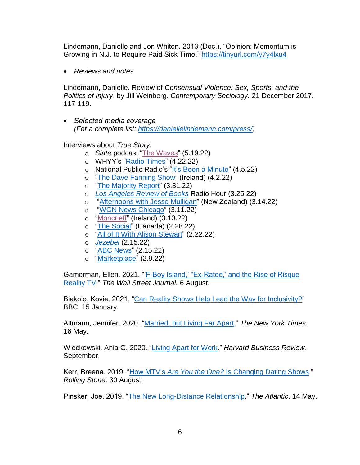Lindemann, Danielle and Jon Whiten. 2013 (Dec.). "Opinion: Momentum is Growing in N.J. to Require Paid Sick Time." <https://tinyurl.com/y7y4lxu4>

• *Reviews and notes*

Lindemann, Danielle. Review of *Consensual Violence: Sex, Sports, and the Politics of Injury*, by Jill Weinberg. *Contemporary Sociology.* 21 December 2017, 117-119.

• *Selected media coverage (For a complete list: [https://daniellelindemann.com/press/\)](https://daniellelindemann.com/press/)*

Interviews about *True Story:*

- o *Slate* podcast ["The Waves"](https://slate.com/podcasts/the-waves/2022/05/what-reality-tv-says-about-our-culture) (5.19.22)
- o WHYY's ["Radio Times"](https://whyy.org/episodes/what-reality-tv-says-about-us/?fbclid=IwAR0SFYtpt56evme25ONG-q4NlvuGU3Kg7KwReq1znXw11iGRarMRB34WkK8)  $(4.22.22)$
- o National Public Radio's ["It's Been a Minute"](https://www.npr.org/2022/02/17/1081430427/true-story-danielle-lindemann-on-what-reality-tv-says-about-us) (4.5.22)
- o ["The Dave Fanning Show"](https://www.rte.ie/radio/2fm/dave-fanning/programmes/2022/0402/1290002-dave-fanning-saturday-2-april-2022/) (Ireland) (4.2.22)
- o ["The Majority Report"](https://majorityreportradio.com/2022/03/31/3-31-what-reality-tv-says-about-societys-rot-w-danielle-lindemann-alexandra-hunt) (3.31.22)
- o *[Los Angeles Review of Books](https://lareviewofbooks.org/av/danielle-lindemanns-true-story-what-reality-tv-says-about-us/)* Radio Hour (3.25.22)
- o ["Afternoons with Jesse Mulligan"](https://www.rnz.co.nz/national/programmes/afternoons/audio/2018834133/what-reality-television-tells-us-about-ourselves) (New Zealand) (3.14.22)
- o ["WGN News Chicago"](https://www.youtube.com/watch?v=12ghACzFtcE) (3.11.22)
- o ["Moncrieff"](https://www.newstalk.com/podcasts/highlights-from-moncrieff/what-reality-tv-says-about-us) (Ireland) (3.10.22)
- o "The [Social"](https://twitter.com/TheSocialCTV/status/1498447933951205377?s=20&t=LsH5Kfn8uKPIB6eIf7xOmg) (Canada) (2.28.22)
- o "All of It With Alison [Stewart"](https://www.wnyc.org/story/true-story-new-book-rise-reality-tv/) (2.22.22)
- o *[Jezebel](https://jezebel.com/reality-tv-peels-back-our-collective-skin-whats-undern-1848536363)* (2.15.22)
- o "ABC [News"](https://abcnews.go.com/US/video/book-reality-tv-explains-82892220) (2.15.22)
- o ["Marketplace"](https://www.marketplace.org/2022/02/09/why-reality-tv-is-like-a-funhouse-mirror-of-our-culture/) (2.9.22)

Gamerman, Ellen. 2021. "['F-Boy Island,' "Ex-Rated,' and the Rise of Risque](https://www.wsj.com/articles/fboy-island-ex-rated-and-the-rise-of-risque-reality-tv-11628258400)  [Reality TV.](https://www.wsj.com/articles/fboy-island-ex-rated-and-the-rise-of-risque-reality-tv-11628258400)" *The Wall Street Journal.* 6 August.

Biakolo, Kovie. 2021. "Can [Reality Shows Help Lead the Way for Inclusivity?"](https://www.bbc.com/worklife/article/20210113-can-reality-tv-shows-help-lead-the-way-for-inclusivity) BBC. 15 January.

Altmann, Jennifer. 2020. ["Married, but Living Far Apart,](https://www.nytimes.com/2020/05/16/fashion/weddings/coronavirus-some-couples-reconsider-living-apart.html)" *The New York Times.* 16 May.

Wieckowski, Ania G. 2020. ["Living Apart for Work.](https://hbr.org/2019/09/power-couples)" *Harvard Business Review.*  September.

Kerr, Breena. 2019. "How MTV's *Are You the One?* [Is Changing Dating Shows.](https://www.rollingstone.com/tv/tv-features/how-mtv-are-you-the-one-changing-dating-shows-877673/)" *Rolling Stone*. 30 August.

Pinsker, Joe. 2019. ["The New Long-Distance Relationship.](https://www.theatlantic.com/family/archive/2019/05/long-distance-relationships/589144/?fbclid=IwAR13MngyDiwzVDC6qDkfT4E9HZkCzGqr6NM2XU5BsA1DOXuoHqEsImU4jmU)" *The Atlantic*. 14 May.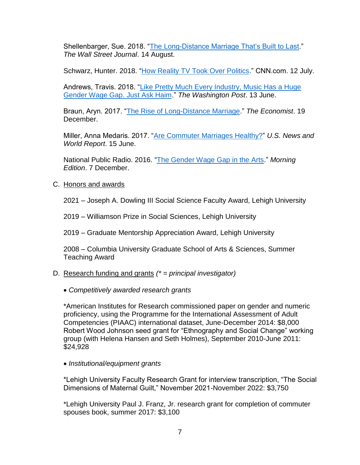Shellenbarger, Sue. 2018. "The [Long-Distance Marriage That's Built to Last.](https://www.wsj.com/articles/the-long-distance-marriage-thats-built-to-last-1534252845)" *The Wall Street Journal*. 14 August.

Schwarz, Hunter. 2018. ["How Reality TV Took Over Politics.](https://www.cnn.com/2018/07/12/politics/how-reality-tv-took-over-politics/index.html)" CNN.com. 12 July.

Andrews, Travis. 2018. "Like Pretty Much Every Industry, Music Has a Huge [Gender Wage Gap. Just Ask Haim.](https://www.washingtonpost.com/news/arts-and-entertainment/wp/2018/06/13/like-pretty-much-every-industry-music-has-a-huge-gender-wage-gap-just-ask-haim/?noredirect=on&utm_term=.ef86c742fb04)" *The Washington Post*. 13 June.

Braun, Aryn. 2017. ["The Rise of Long-Distance Marriage.](https://www.economist.com/news/united-states/21732825-financial-necessity-encouraging-more-couples-live-apart-rise-long-distance)" *The Economist*. 19 December.

Miller, Anna Medaris. 2017. ["Are Commuter Marriages Healthy?"](https://health.usnews.com/wellness/articles/2017-06-15/are-commuter-marriages-healthy?src=usn_tw) *U.S. News and World Report*. 15 June.

National Public Radio. 2016. ["The Gender Wage Gap in the Arts.](http://www.npr.org/2016/12/07/504651764/the-gender-wage-gap-in-the-arts)" *Morning Edition*. 7 December.

## C. Honors and awards

2021 – Joseph A. Dowling III Social Science Faculty Award, Lehigh University

2019 – Williamson Prize in Social Sciences, Lehigh University

2019 – Graduate Mentorship Appreciation Award, Lehigh University

2008 – Columbia University Graduate School of Arts & Sciences, Summer Teaching Award

# D. Research funding and grants *(\* = principal investigator)*

• *Competitively awarded research grants*

\*American Institutes for Research commissioned paper on gender and numeric proficiency, using the Programme for the International Assessment of Adult Competencies (PIAAC) international dataset, June-December 2014: \$8,000 Robert Wood Johnson seed grant for "Ethnography and Social Change" working group (with Helena Hansen and Seth Holmes), September 2010-June 2011: \$24,928

• *Institutional/equipment grants*

\*Lehigh University Faculty Research Grant for interview transcription, "The Social Dimensions of Maternal Guilt," November 2021-November 2022: \$3,750

\*Lehigh University Paul J. Franz, Jr. research grant for completion of commuter spouses book, summer 2017: \$3,100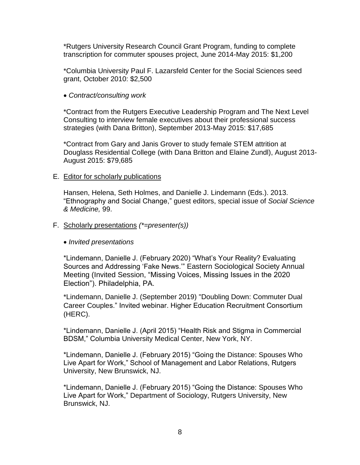\*Rutgers University Research Council Grant Program, funding to complete transcription for commuter spouses project, June 2014-May 2015: \$1,200

\*Columbia University Paul F. Lazarsfeld Center for the Social Sciences seed grant, October 2010: \$2,500

• *Contract/consulting work*

\*Contract from the Rutgers Executive Leadership Program and The Next Level Consulting to interview female executives about their professional success strategies (with Dana Britton), September 2013-May 2015: \$17,685

\*Contract from Gary and Janis Grover to study female STEM attrition at Douglass Residential College (with Dana Britton and Elaine Zundl), August 2013- August 2015: \$79,685

#### E. Editor for scholarly publications

Hansen, Helena, Seth Holmes, and Danielle J. Lindemann (Eds.). 2013. "Ethnography and Social Change," guest editors, special issue of *Social Science & Medicine,* 99.

- F. Scholarly presentations *(\*=presenter(s))*
	- *Invited presentations*

\*Lindemann, Danielle J. (February 2020) "What's Your Reality? Evaluating Sources and Addressing 'Fake News.'" Eastern Sociological Society Annual Meeting (Invited Session, "Missing Voices, Missing Issues in the 2020 Election"). Philadelphia, PA.

\*Lindemann, Danielle J. (September 2019) "Doubling Down: Commuter Dual Career Couples." Invited webinar. Higher Education Recruitment Consortium (HERC).

\*Lindemann, Danielle J. (April 2015) "Health Risk and Stigma in Commercial BDSM," Columbia University Medical Center, New York, NY.

\*Lindemann, Danielle J. (February 2015) "Going the Distance: Spouses Who Live Apart for Work," School of Management and Labor Relations, Rutgers University, New Brunswick, NJ.

\*Lindemann, Danielle J. (February 2015) "Going the Distance: Spouses Who Live Apart for Work," Department of Sociology, Rutgers University, New Brunswick, NJ.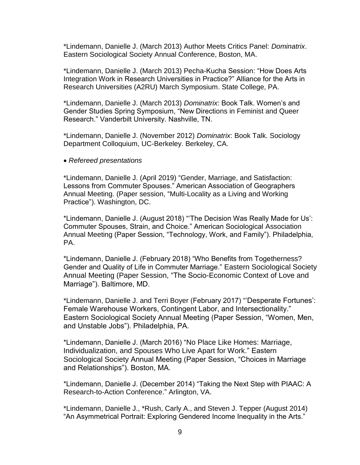\*Lindemann, Danielle J. (March 2013) Author Meets Critics Panel: *Dominatrix*. Eastern Sociological Society Annual Conference, Boston, MA.

\*Lindemann, Danielle J. (March 2013) Pecha-Kucha Session: "How Does Arts Integration Work in Research Universities in Practice?" Alliance for the Arts in Research Universities (A2RU) March Symposium. State College, PA.

\*Lindemann, Danielle J. (March 2013) *Dominatrix*: Book Talk. Women's and Gender Studies Spring Symposium, "New Directions in Feminist and Queer Research." Vanderbilt University. Nashville, TN.

\*Lindemann, Danielle J. (November 2012) *Dominatrix*: Book Talk. Sociology Department Colloquium, UC-Berkeley. Berkeley, CA.

• *Refereed presentations*

\*Lindemann, Danielle J. (April 2019) "Gender, Marriage, and Satisfaction: Lessons from Commuter Spouses." American Association of Geographers Annual Meeting. (Paper session, "Multi-Locality as a Living and Working Practice"). Washington, DC.

\*Lindemann, Danielle J. (August 2018) "'The Decision Was Really Made for Us': Commuter Spouses, Strain, and Choice." American Sociological Association Annual Meeting (Paper Session, "Technology, Work, and Family"). Philadelphia, PA.

\*Lindemann, Danielle J. (February 2018) "Who Benefits from Togetherness? Gender and Quality of Life in Commuter Marriage." Eastern Sociological Society Annual Meeting (Paper Session, "The Socio-Economic Context of Love and Marriage"). Baltimore, MD.

\*Lindemann, Danielle J. and Terri Boyer (February 2017) "'Desperate Fortunes': Female Warehouse Workers, Contingent Labor, and Intersectionality." Eastern Sociological Society Annual Meeting (Paper Session, "Women, Men, and Unstable Jobs"). Philadelphia, PA.

\*Lindemann, Danielle J. (March 2016) "No Place Like Homes: Marriage, Individualization, and Spouses Who Live Apart for Work." Eastern Sociological Society Annual Meeting (Paper Session, "Choices in Marriage and Relationships"). Boston, MA.

\*Lindemann, Danielle J. (December 2014) "Taking the Next Step with PIAAC: A Research-to-Action Conference." Arlington, VA.

\*Lindemann, Danielle J., \*Rush, Carly A., and Steven J. Tepper (August 2014) "An Asymmetrical Portrait: Exploring Gendered Income Inequality in the Arts."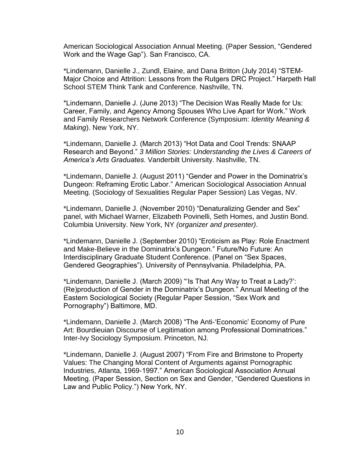American Sociological Association Annual Meeting. (Paper Session, "Gendered Work and the Wage Gap"). San Francisco, CA.

\*Lindemann, Danielle J., Zundl, Elaine, and Dana Britton (July 2014) "STEM-Major Choice and Attrition: Lessons from the Rutgers DRC Project." Harpeth Hall School STEM Think Tank and Conference. Nashville, TN.

\*Lindemann, Danielle J. (June 2013) "The Decision Was Really Made for Us: Career, Family, and Agency Among Spouses Who Live Apart for Work." Work and Family Researchers Network Conference (Symposium: *Identity Meaning & Making*). New York, NY.

\*Lindemann, Danielle J. (March 2013) "Hot Data and Cool Trends: SNAAP Research and Beyond." *3 Million Stories: Understanding the Lives & Careers of America's Arts Graduates*. Vanderbilt University. Nashville, TN.

\*Lindemann, Danielle J. (August 2011) "Gender and Power in the Dominatrix's Dungeon: Reframing Erotic Labor." American Sociological Association Annual Meeting. (Sociology of Sexualities Regular Paper Session) Las Vegas, NV.

\*Lindemann, Danielle J. (November 2010) "Denaturalizing Gender and Sex" panel, with Michael Warner, Elizabeth Povinelli, Seth Homes, and Justin Bond. Columbia University. New York, NY *(organizer and presenter)*.

\*Lindemann, Danielle J. (September 2010) "Eroticism as Play: Role Enactment and Make-Believe in the Dominatrix's Dungeon." Future/No Future: An Interdisciplinary Graduate Student Conference. (Panel on "Sex Spaces, Gendered Geographies"). University of Pennsylvania. Philadelphia, PA.

\*Lindemann, Danielle J. (March 2009) "'Is That Any Way to Treat a Lady?': (Re)production of Gender in the Dominatrix's Dungeon." Annual Meeting of the Eastern Sociological Society (Regular Paper Session, "Sex Work and Pornography") Baltimore, MD.

\*Lindemann, Danielle J. (March 2008) "The Anti-'Economic' Economy of Pure Art: Bourdieuian Discourse of Legitimation among Professional Dominatrices." Inter-Ivy Sociology Symposium. Princeton, NJ.

\*Lindemann, Danielle J. (August 2007) "From Fire and Brimstone to Property Values: The Changing Moral Content of Arguments against Pornographic Industries, Atlanta, 1969-1997." American Sociological Association Annual Meeting. (Paper Session, Section on Sex and Gender, "Gendered Questions in Law and Public Policy.") New York, NY.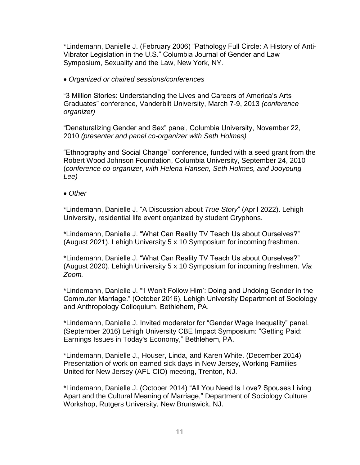\*Lindemann, Danielle J. (February 2006) "Pathology Full Circle: A History of Anti-Vibrator Legislation in the U.S." Columbia Journal of Gender and Law Symposium, Sexuality and the Law, New York, NY.

• *Organized or chaired sessions/conferences*

"3 Million Stories: Understanding the Lives and Careers of America's Arts Graduates" conference, Vanderbilt University, March 7-9, 2013 *(conference organizer)*

"Denaturalizing Gender and Sex" panel, Columbia University, November 22, 2010 *(presenter and panel co-organizer with Seth Holmes)*

"Ethnography and Social Change" conference, funded with a seed grant from the Robert Wood Johnson Foundation, Columbia University, September 24, 2010 (*conference co-organizer, with Helena Hansen, Seth Holmes, and Jooyoung Lee)* 

• *Other*

\*Lindemann, Danielle J. "A Discussion about *True Story*" (April 2022). Lehigh University, residential life event organized by student Gryphons.

\*Lindemann, Danielle J. "What Can Reality TV Teach Us about Ourselves?" (August 2021). Lehigh University 5 x 10 Symposium for incoming freshmen.

\*Lindemann, Danielle J. "What Can Reality TV Teach Us about Ourselves?" (August 2020). Lehigh University 5 x 10 Symposium for incoming freshmen. *Via Zoom.* 

\*Lindemann, Danielle J. "'I Won't Follow Him': Doing and Undoing Gender in the Commuter Marriage." (October 2016). Lehigh University Department of Sociology and Anthropology Colloquium, Bethlehem, PA.

\*Lindemann, Danielle J. Invited moderator for "Gender Wage Inequality" panel. (September 2016) Lehigh University CBE Impact Symposium: "Getting Paid: Earnings Issues in Today's Economy," Bethlehem, PA.

\*Lindemann, Danielle J., Houser, Linda, and Karen White. (December 2014) Presentation of work on earned sick days in New Jersey, Working Families United for New Jersey (AFL-CIO) meeting, Trenton, NJ.

\*Lindemann, Danielle J. (October 2014) "All You Need Is Love? Spouses Living Apart and the Cultural Meaning of Marriage," Department of Sociology Culture Workshop, Rutgers University, New Brunswick, NJ.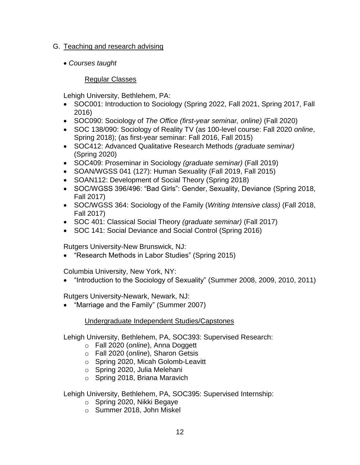## G. Teaching and research advising

• *Courses taught*

# Regular Classes

Lehigh University, Bethlehem, PA:

- SOC001: Introduction to Sociology (Spring 2022, Fall 2021, Spring 2017, Fall 2016)
- SOC090: Sociology of *The Office (first-year seminar, online)* (Fall 2020)
- SOC 138/090: Sociology of Reality TV (as 100-level course: Fall 2020 *online*, Spring 2018); (as first-year seminar: Fall 2016, Fall 2015)
- SOC412: Advanced Qualitative Research Methods *(graduate seminar)* (Spring 2020)
- SOC409: Proseminar in Sociology *(graduate seminar)* (Fall 2019)
- SOAN/WGSS 041 (127): Human Sexuality (Fall 2019, Fall 2015)
- SOAN112: Development of Social Theory (Spring 2018)
- SOC/WGSS 396/496: "Bad Girls": Gender, Sexuality, Deviance (Spring 2018, Fall 2017)
- SOC/WGSS 364: Sociology of the Family (*Writing Intensive class)* (Fall 2018, Fall 2017)
- SOC 401: Classical Social Theory *(graduate seminar)* (Fall 2017)
- SOC 141: Social Deviance and Social Control (Spring 2016)

Rutgers University-New Brunswick, NJ:

• "Research Methods in Labor Studies" (Spring 2015)

Columbia University, New York, NY:

• "Introduction to the Sociology of Sexuality" (Summer 2008, 2009, 2010, 2011)

Rutgers University-Newark, Newark, NJ:

• "Marriage and the Family" (Summer 2007)

# Undergraduate Independent Studies/Capstones

Lehigh University, Bethlehem, PA, SOC393: Supervised Research:

- o Fall 2020 (*online*), Anna Doggett
- o Fall 2020 (*online*), Sharon Getsis
- o Spring 2020, Micah Golomb-Leavitt
- o Spring 2020, Julia Melehani
- o Spring 2018, Briana Maravich

Lehigh University, Bethlehem, PA, SOC395: Supervised Internship:

- o Spring 2020, Nikki Begaye
- o Summer 2018, John Miskel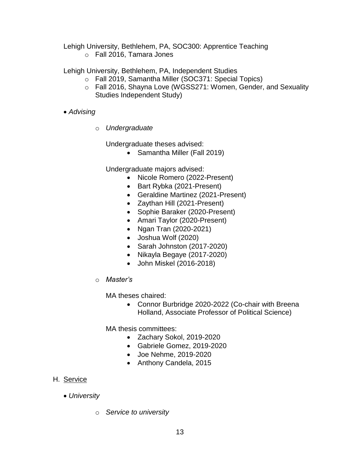Lehigh University, Bethlehem, PA, SOC300: Apprentice Teaching

o Fall 2016, Tamara Jones

Lehigh University, Bethlehem, PA, Independent Studies

- o Fall 2019, Samantha Miller (SOC371: Special Topics)
- o Fall 2016, Shayna Love (WGSS271: Women, Gender, and Sexuality Studies Independent Study)
- *Advising*
	- o *Undergraduate*

Undergraduate theses advised:

• Samantha Miller (Fall 2019)

Undergraduate majors advised:

- Nicole Romero (2022-Present)
- Bart Rybka (2021-Present)
- Geraldine Martinez (2021-Present)
- Zaythan Hill (2021-Present)
- Sophie Baraker (2020-Present)
- Amari Taylor (2020-Present)
- Ngan Tran (2020-2021)
- Joshua Wolf (2020)
- Sarah Johnston (2017-2020)
- Nikayla Begaye (2017-2020)
- John Miskel (2016-2018)
- o *Master's*

MA theses chaired:

• Connor Burbridge 2020-2022 (Co-chair with Breena Holland, Associate Professor of Political Science)

MA thesis committees:

- Zachary Sokol, 2019-2020
- Gabriele Gomez, 2019-2020
- Joe Nehme, 2019-2020
- Anthony Candela, 2015

# H. Service

- *University*
	- o *Service to university*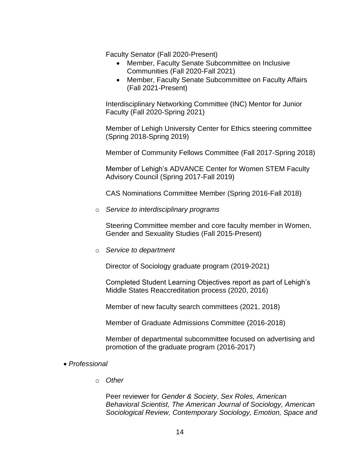Faculty Senator (Fall 2020-Present)

- Member, Faculty Senate Subcommittee on Inclusive Communities (Fall 2020-Fall 2021)
- Member, Faculty Senate Subcommittee on Faculty Affairs (Fall 2021-Present)

Interdisciplinary Networking Committee (INC) Mentor for Junior Faculty (Fall 2020-Spring 2021)

Member of Lehigh University Center for Ethics steering committee (Spring 2018-Spring 2019)

Member of Community Fellows Committee (Fall 2017-Spring 2018)

Member of Lehigh's ADVANCE Center for Women STEM Faculty Advisory Council (Spring 2017-Fall 2019)

CAS Nominations Committee Member (Spring 2016-Fall 2018)

o *Service to interdisciplinary programs*

Steering Committee member and core faculty member in Women, Gender and Sexuality Studies (Fall 2015-Present)

o *Service to department*

Director of Sociology graduate program (2019-2021)

Completed Student Learning Objectives report as part of Lehigh's Middle States Reaccreditation process (2020, 2016)

Member of new faculty search committees (2021, 2018)

Member of Graduate Admissions Committee (2016-2018)

Member of departmental subcommittee focused on advertising and promotion of the graduate program (2016-2017)

- *Professional* 
	- o *Other*

Peer reviewer for *Gender & Society*, *Sex Roles, American Behavioral Scientist, The American Journal of Sociology, American Sociological Review, Contemporary Sociology, Emotion, Space and*